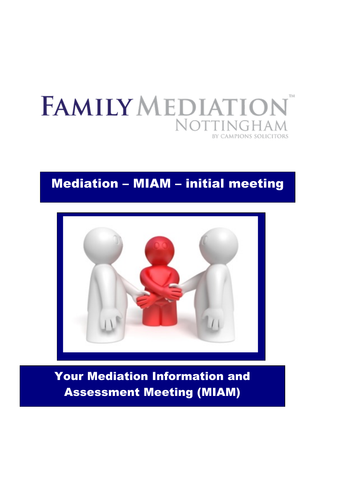

# Mediation – MIAM – initial meeting



Your Mediation Information and Assessment Meeting (MIAM)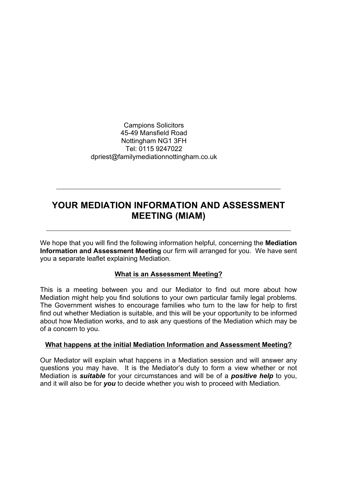Campions Solicitors 45-49 Mansfield Road Nottingham NG1 3FH Tel: 0115 9247022 dpriest@familymediationnottingham.co.uk

# **YOUR MEDIATION INFORMATION AND ASSESSMENT MEETING (MIAM)**

We hope that you will find the following information helpful, concerning the **Mediation Information and Assessment Meeting** our firm will arranged for you. We have sent you a separate leaflet explaining Mediation.

#### **What is an Assessment Meeting?**

This is a meeting between you and our Mediator to find out more about how Mediation might help you find solutions to your own particular family legal problems. The Government wishes to encourage families who turn to the law for help to first find out whether Mediation is suitable, and this will be your opportunity to be informed about how Mediation works, and to ask any questions of the Mediation which may be of a concern to you.

#### **What happens at the initial Mediation Information and Assessment Meeting?**

Our Mediator will explain what happens in a Mediation session and will answer any questions you may have. It is the Mediator's duty to form a view whether or not Mediation is *suitable* for your circumstances and will be of a *positive help* to you, and it will also be for *you* to decide whether you wish to proceed with Mediation.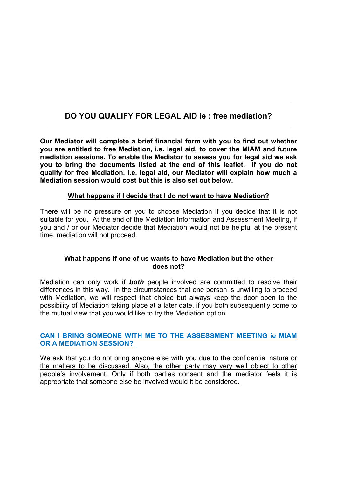# **DO YOU QUALIFY FOR LEGAL AID ie : free mediation?**

**Our Mediator will complete a brief financial form with you to find out whether you are entitled to free Mediation, i.e. legal aid, to cover the MIAM and future mediation sessions. To enable the Mediator to assess you for legal aid we ask you to bring the documents listed at the end of this leaflet. If you do not qualify for free Mediation, i.e. legal aid, our Mediator will explain how much a Mediation session would cost but this is also set out below.**

## **What happens if I decide that I do not want to have Mediation?**

There will be no pressure on you to choose Mediation if you decide that it is not suitable for you. At the end of the Mediation Information and Assessment Meeting, if you and / or our Mediator decide that Mediation would not be helpful at the present time, mediation will not proceed.

## **What happens if one of us wants to have Mediation but the other does not?**

Mediation can only work if *both* people involved are committed to resolve their differences in this way. In the circumstances that one person is unwilling to proceed with Mediation, we will respect that choice but always keep the door open to the possibility of Mediation taking place at a later date, if you both subsequently come to the mutual view that you would like to try the Mediation option.

## **CAN I BRING SOMEONE WITH ME TO THE ASSESSMENT MEETING ie MIAM OR A MEDIATION SESSION?**

We ask that you do not bring anyone else with you due to the confidential nature or the matters to be discussed. Also, the other party may very well object to other people's involvement. Only if both parties consent and the mediator feels it is appropriate that someone else be involved would it be considered.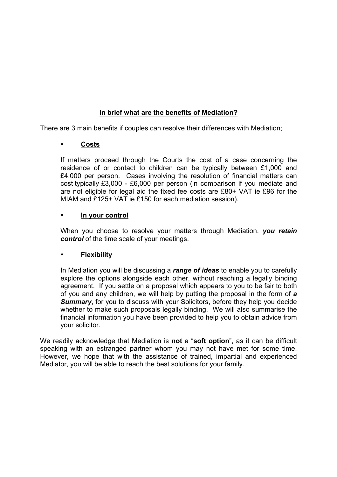# **In brief what are the benefits of Mediation?**

There are 3 main benefits if couples can resolve their differences with Mediation;

# • **Costs**

If matters proceed through the Courts the cost of a case concerning the residence of or contact to children can be typically between £1,000 and £4,000 per person. Cases involving the resolution of financial matters can cost typically £3,000 - £6,000 per person (in comparison if you mediate and are not eligible for legal aid the fixed fee costs are £80+ VAT ie £96 for the MIAM and £125+ VAT ie £150 for each mediation session).

#### • **In your control**

When you choose to resolve your matters through Mediation, *you retain control* of the time scale of your meetings.

# • **Flexibility**

In Mediation you will be discussing a *range of ideas* to enable you to carefully explore the options alongside each other, without reaching a legally binding agreement. If you settle on a proposal which appears to you to be fair to both of you and any children, we will help by putting the proposal in the form of *a*  **Summary**, for you to discuss with your Solicitors, before they help you decide whether to make such proposals legally binding. We will also summarise the financial information you have been provided to help you to obtain advice from your solicitor.

We readily acknowledge that Mediation is **not** a "**soft option**", as it can be difficult speaking with an estranged partner whom you may not have met for some time. However, we hope that with the assistance of trained, impartial and experienced Mediator, you will be able to reach the best solutions for your family.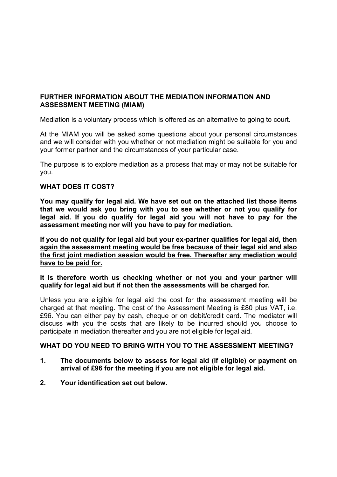## **FURTHER INFORMATION ABOUT THE MEDIATION INFORMATION AND ASSESSMENT MEETING (MIAM)**

Mediation is a voluntary process which is offered as an alternative to going to court.

At the MIAM you will be asked some questions about your personal circumstances and we will consider with you whether or not mediation might be suitable for you and your former partner and the circumstances of your particular case.

The purpose is to explore mediation as a process that may or may not be suitable for you.

#### **WHAT DOES IT COST?**

**You may qualify for legal aid. We have set out on the attached list those items that we would ask you bring with you to see whether or not you qualify for legal aid. If you do qualify for legal aid you will not have to pay for the assessment meeting nor will you have to pay for mediation.**

**If you do not qualify for legal aid but your ex-partner qualifies for legal aid, then again the assessment meeting would be free because of their legal aid and also the first joint mediation session would be free. Thereafter any mediation would have to be paid for.**

#### **It is therefore worth us checking whether or not you and your partner will qualify for legal aid but if not then the assessments will be charged for.**

Unless you are eligible for legal aid the cost for the assessment meeting will be charged at that meeting. The cost of the Assessment Meeting is £80 plus VAT, i.e. £96. You can either pay by cash, cheque or on debit/credit card. The mediator will discuss with you the costs that are likely to be incurred should you choose to participate in mediation thereafter and you are not eligible for legal aid.

#### **WHAT DO YOU NEED TO BRING WITH YOU TO THE ASSESSMENT MEETING?**

- **1. The documents below to assess for legal aid (if eligible) or payment on arrival of £96 for the meeting if you are not eligible for legal aid.**
- **2. Your identification set out below.**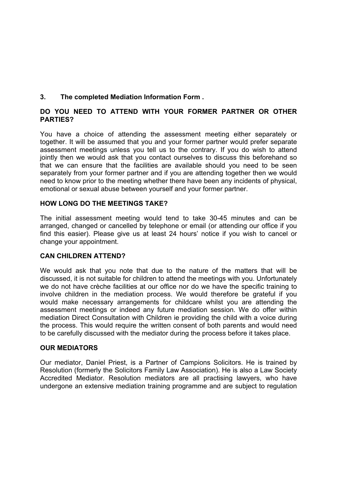# **3. The completed Mediation Information Form .**

## **DO YOU NEED TO ATTEND WITH YOUR FORMER PARTNER OR OTHER PARTIES?**

You have a choice of attending the assessment meeting either separately or together. It will be assumed that you and your former partner would prefer separate assessment meetings unless you tell us to the contrary. If you do wish to attend jointly then we would ask that you contact ourselves to discuss this beforehand so that we can ensure that the facilities are available should you need to be seen separately from your former partner and if you are attending together then we would need to know prior to the meeting whether there have been any incidents of physical, emotional or sexual abuse between yourself and your former partner.

## **HOW LONG DO THE MEETINGS TAKE?**

The initial assessment meeting would tend to take 30-45 minutes and can be arranged, changed or cancelled by telephone or email (or attending our office if you find this easier). Please give us at least 24 hours' notice if you wish to cancel or change your appointment.

#### **CAN CHILDREN ATTEND?**

We would ask that you note that due to the nature of the matters that will be discussed, it is not suitable for children to attend the meetings with you. Unfortunately we do not have crèche facilities at our office nor do we have the specific training to involve children in the mediation process. We would therefore be grateful if you would make necessary arrangements for childcare whilst you are attending the assessment meetings or indeed any future mediation session. We do offer within mediation Direct Consultation with Children ie providing the child with a voice during the process. This would require the written consent of both parents and would need to be carefully discussed with the mediator during the process before it takes place.

#### **OUR MEDIATORS**

Our mediator, Daniel Priest, is a Partner of Campions Solicitors. He is trained by Resolution (formerly the Solicitors Family Law Association). He is also a Law Society Accredited Mediator. Resolution mediators are all practising lawyers, who have undergone an extensive mediation training programme and are subject to regulation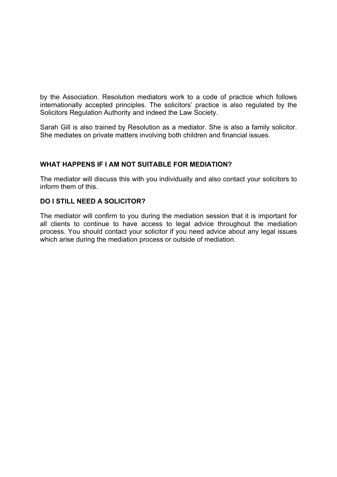by the Association. Resolution mediators work to a code of practice which follows internationally accepted principles. The solicitors' practice is also regulated by the Solicitors Regulation Authority and indeed the Law Society.

Sarah Gill is also trained by Resolution as a mediator. She is also a family solicitor. She mediates on private matters involving both children and financial issues.

#### **WHAT HAPPENS IF I AM NOT SUITABLE FOR MEDIATION?**

The mediator will discuss this with you individually and also contact your solicitors to inform them of this.

#### **DO I STILL NEED A SOLICITOR?**

The mediator will confirm to you during the mediation session that it is important for all clients to continue to have access to legal advice throughout the mediation process. You should contact your solicitor if you need advice about any legal issues which arise during the mediation process or outside of mediation.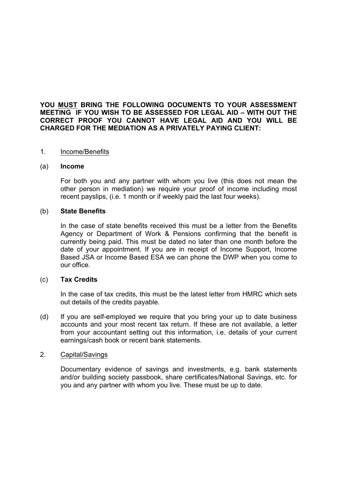#### **YOU MUST BRING THE FOLLOWING DOCUMENTS TO YOUR ASSESSMENT MEETING IF YOU WISH TO BE ASSESSED FOR LEGAL AID – WITH OUT THE CORRECT PROOF YOU CANNOT HAVE LEGAL AID AND YOU WILL BE CHARGED FOR THE MEDIATION AS A PRIVATELY PAYING CLIENT:**

#### 1. Income/Benefits

#### (a) **Income**

For both you and any partner with whom you live (this does not mean the other person in mediation) we require your proof of income including most recent payslips, (i.e. 1 month or if weekly paid the last four weeks).

#### (b) **State Benefits**

In the case of state benefits received this must be a letter from the Benefits Agency or Department of Work & Pensions confirming that the benefit is currently being paid. This must be dated no later than one month before the date of your appointment. If you are in receipt of Income Support, Income Based JSA or Income Based ESA we can phone the DWP when you come to our office.

#### (c) **Tax Credits**

In the case of tax credits, this must be the latest letter from HMRC which sets out details of the credits payable.

(d) If you are self-employed we require that you bring your up to date business accounts and your most recent tax return. If these are not available, a letter from your accountant setting out this information, i.e. details of your current earnings/cash book or recent bank statements.

#### 2. Capital/Savings

Documentary evidence of savings and investments, e.g. bank statements and/or building society passbook, share certificates/National Savings, etc. for you and any partner with whom you live. These must be up to date.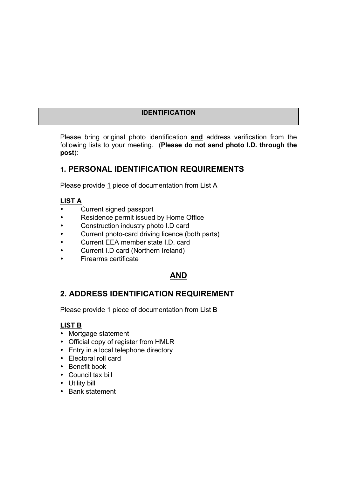# **IDENTIFICATION**

Please bring original photo identification **and** address verification from the following lists to your meeting. (**Please do not send photo I.D. through the post**):

# **1. PERSONAL IDENTIFICATION REQUIREMENTS**

Please provide 1 piece of documentation from List A

# **LIST A**

- Current signed passport
- Residence permit issued by Home Office
- Construction industry photo I.D card
- Current photo-card driving licence (both parts)
- Current EEA member state I.D. card
- Current I.D card (Northern Ireland)
- Firearms certificate

# **AND**

# **2. ADDRESS IDENTIFICATION REQUIREMENT**

Please provide 1 piece of documentation from List B

# **LIST B**

- Mortgage statement
- Official copy of register from HMLR
- Entry in a local telephone directory
- Electoral roll card
- Benefit book
- Council tax bill
- Utility bill
- Bank statement